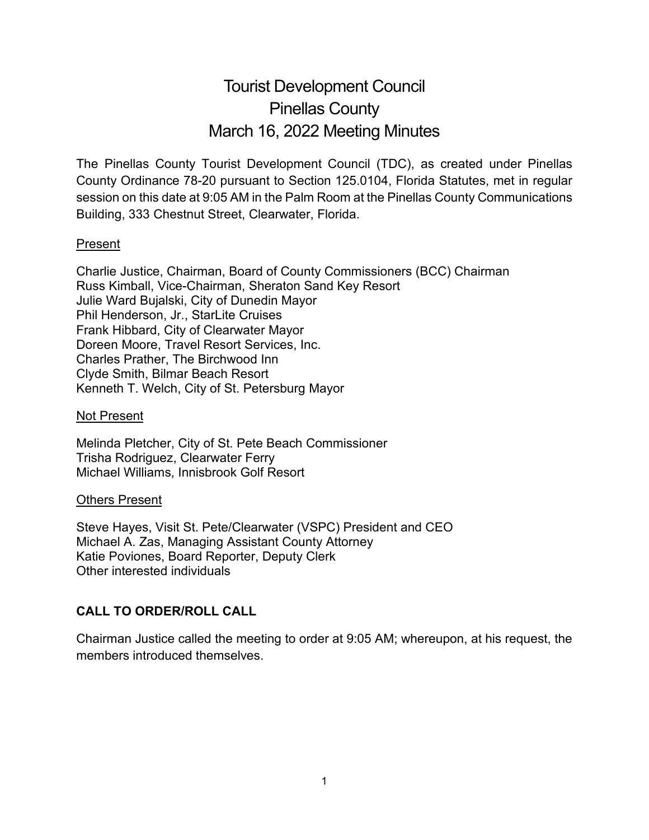# Tourist Development Council Pinellas County March 16, 2022 Meeting Minutes

The Pinellas County Tourist Development Council (TDC), as created under Pinellas County Ordinance 78-20 pursuant to Section 125.0104, Florida Statutes, met in regular session on this date at 9:05 AM in the Palm Room at the Pinellas County Communications Building, 333 Chestnut Street, Clearwater, Florida.

## Present

Charlie Justice, Chairman, Board of County Commissioners (BCC) Chairman Russ Kimball, Vice-Chairman, Sheraton Sand Key Resort Julie Ward Bujalski, City of Dunedin Mayor Phil Henderson, Jr., StarLite Cruises Frank Hibbard, City of Clearwater Mayor Doreen Moore, Travel Resort Services, Inc. Charles Prather, The Birchwood Inn Clyde Smith, Bilmar Beach Resort Kenneth T. Welch, City of St. Petersburg Mayor

#### Not Present

Melinda Pletcher, City of St. Pete Beach Commissioner Trisha Rodriguez, Clearwater Ferry Michael Williams, Innisbrook Golf Resort

#### Others Present

Steve Hayes, Visit St. Pete/Clearwater (VSPC) President and CEO Michael A. Zas, Managing Assistant County Attorney Katie Poviones, Board Reporter, Deputy Clerk Other interested individuals

# **CALL TO ORDER/ROLL CALL**

Chairman Justice called the meeting to order at 9:05 AM; whereupon, at his request, the members introduced themselves.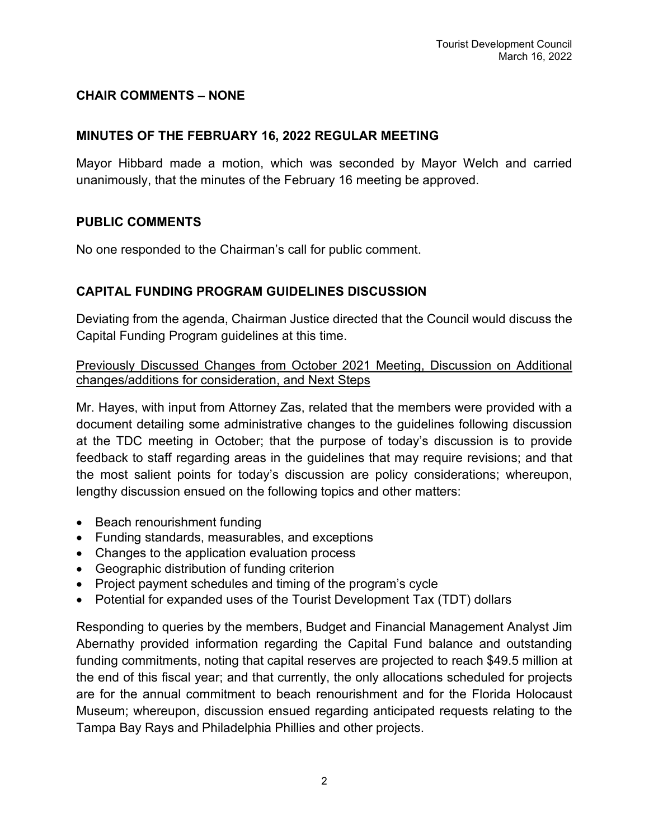# **CHAIR COMMENTS – NONE**

## **MINUTES OF THE FEBRUARY 16, 2022 REGULAR MEETING**

Mayor Hibbard made a motion, which was seconded by Mayor Welch and carried unanimously, that the minutes of the February 16 meeting be approved.

#### **PUBLIC COMMENTS**

No one responded to the Chairman's call for public comment.

## **CAPITAL FUNDING PROGRAM GUIDELINES DISCUSSION**

Deviating from the agenda, Chairman Justice directed that the Council would discuss the Capital Funding Program guidelines at this time.

Previously Discussed Changes from October 2021 Meeting, Discussion on Additional changes/additions for consideration, and Next Steps

Mr. Hayes, with input from Attorney Zas, related that the members were provided with a document detailing some administrative changes to the guidelines following discussion at the TDC meeting in October; that the purpose of today's discussion is to provide feedback to staff regarding areas in the guidelines that may require revisions; and that the most salient points for today's discussion are policy considerations; whereupon, lengthy discussion ensued on the following topics and other matters:

- Beach renourishment funding
- Funding standards, measurables, and exceptions
- Changes to the application evaluation process
- Geographic distribution of funding criterion
- Project payment schedules and timing of the program's cycle
- Potential for expanded uses of the Tourist Development Tax (TDT) dollars

Responding to queries by the members, Budget and Financial Management Analyst Jim Abernathy provided information regarding the Capital Fund balance and outstanding funding commitments, noting that capital reserves are projected to reach \$49.5 million at the end of this fiscal year; and that currently, the only allocations scheduled for projects are for the annual commitment to beach renourishment and for the Florida Holocaust Museum; whereupon, discussion ensued regarding anticipated requests relating to the Tampa Bay Rays and Philadelphia Phillies and other projects.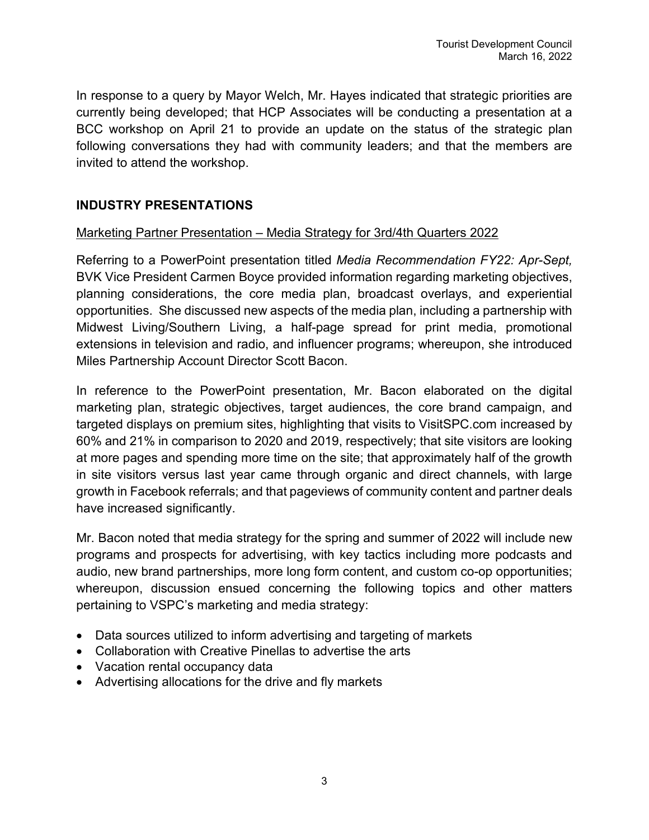In response to a query by Mayor Welch, Mr. Hayes indicated that strategic priorities are currently being developed; that HCP Associates will be conducting a presentation at a BCC workshop on April 21 to provide an update on the status of the strategic plan following conversations they had with community leaders; and that the members are invited to attend the workshop.

# **INDUSTRY PRESENTATIONS**

## Marketing Partner Presentation – Media Strategy for 3rd/4th Quarters 2022

Referring to a PowerPoint presentation titled *Media Recommendation FY22: Apr-Sept,*  BVK Vice President Carmen Boyce provided information regarding marketing objectives, planning considerations, the core media plan, broadcast overlays, and experiential opportunities. She discussed new aspects of the media plan, including a partnership with Midwest Living/Southern Living, a half-page spread for print media, promotional extensions in television and radio, and influencer programs; whereupon, she introduced Miles Partnership Account Director Scott Bacon.

In reference to the PowerPoint presentation, Mr. Bacon elaborated on the digital marketing plan, strategic objectives, target audiences, the core brand campaign, and targeted displays on premium sites, highlighting that visits to VisitSPC.com increased by 60% and 21% in comparison to 2020 and 2019, respectively; that site visitors are looking at more pages and spending more time on the site; that approximately half of the growth in site visitors versus last year came through organic and direct channels, with large growth in Facebook referrals; and that pageviews of community content and partner deals have increased significantly.

Mr. Bacon noted that media strategy for the spring and summer of 2022 will include new programs and prospects for advertising, with key tactics including more podcasts and audio, new brand partnerships, more long form content, and custom co-op opportunities; whereupon, discussion ensued concerning the following topics and other matters pertaining to VSPC's marketing and media strategy:

- Data sources utilized to inform advertising and targeting of markets
- Collaboration with Creative Pinellas to advertise the arts
- Vacation rental occupancy data
- Advertising allocations for the drive and fly markets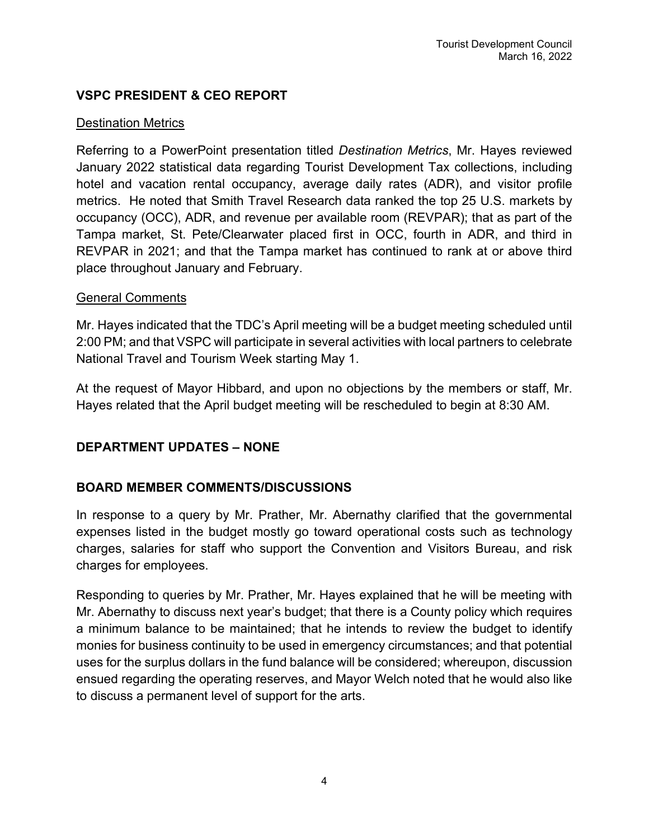# **VSPC PRESIDENT & CEO REPORT**

#### Destination Metrics

Referring to a PowerPoint presentation titled *Destination Metrics*, Mr. Hayes reviewed January 2022 statistical data regarding Tourist Development Tax collections, including hotel and vacation rental occupancy, average daily rates (ADR), and visitor profile metrics. He noted that Smith Travel Research data ranked the top 25 U.S. markets by occupancy (OCC), ADR, and revenue per available room (REVPAR); that as part of the Tampa market, St. Pete/Clearwater placed first in OCC, fourth in ADR, and third in REVPAR in 2021; and that the Tampa market has continued to rank at or above third place throughout January and February.

## General Comments

Mr. Hayes indicated that the TDC's April meeting will be a budget meeting scheduled until 2:00 PM; and that VSPC will participate in several activities with local partners to celebrate National Travel and Tourism Week starting May 1.

At the request of Mayor Hibbard, and upon no objections by the members or staff, Mr. Hayes related that the April budget meeting will be rescheduled to begin at 8:30 AM.

## **DEPARTMENT UPDATES – NONE**

## **BOARD MEMBER COMMENTS/DISCUSSIONS**

In response to a query by Mr. Prather, Mr. Abernathy clarified that the governmental expenses listed in the budget mostly go toward operational costs such as technology charges, salaries for staff who support the Convention and Visitors Bureau, and risk charges for employees.

Responding to queries by Mr. Prather, Mr. Hayes explained that he will be meeting with Mr. Abernathy to discuss next year's budget; that there is a County policy which requires a minimum balance to be maintained; that he intends to review the budget to identify monies for business continuity to be used in emergency circumstances; and that potential uses for the surplus dollars in the fund balance will be considered; whereupon, discussion ensued regarding the operating reserves, and Mayor Welch noted that he would also like to discuss a permanent level of support for the arts.